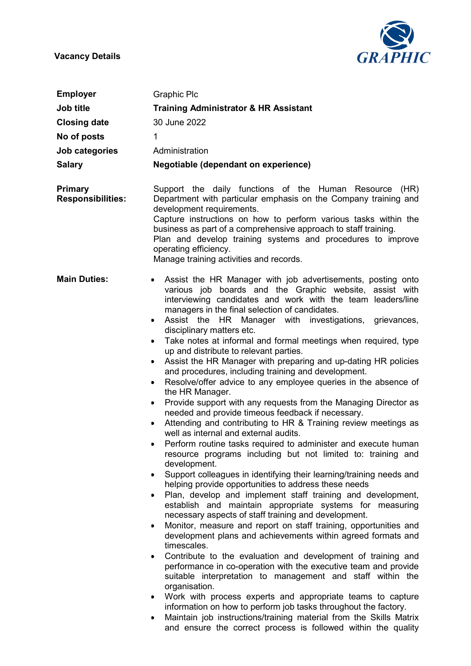Vacancy Details



| <b>Employer</b>                     | <b>Graphic Plc</b>                                                                                                                                                                                                                                                                                                                                                                                                                                                                                                                                                                                                                                                                                                                                                                                                                                                                                                                                                                                                                                                                                                                                                                                                                                                                                                                                                                                                                                                                                                                                                                                                                                                                                                                                                                                                                                                                                                                                                                                                                                                 |
|-------------------------------------|--------------------------------------------------------------------------------------------------------------------------------------------------------------------------------------------------------------------------------------------------------------------------------------------------------------------------------------------------------------------------------------------------------------------------------------------------------------------------------------------------------------------------------------------------------------------------------------------------------------------------------------------------------------------------------------------------------------------------------------------------------------------------------------------------------------------------------------------------------------------------------------------------------------------------------------------------------------------------------------------------------------------------------------------------------------------------------------------------------------------------------------------------------------------------------------------------------------------------------------------------------------------------------------------------------------------------------------------------------------------------------------------------------------------------------------------------------------------------------------------------------------------------------------------------------------------------------------------------------------------------------------------------------------------------------------------------------------------------------------------------------------------------------------------------------------------------------------------------------------------------------------------------------------------------------------------------------------------------------------------------------------------------------------------------------------------|
| Job title                           | <b>Training Administrator &amp; HR Assistant</b>                                                                                                                                                                                                                                                                                                                                                                                                                                                                                                                                                                                                                                                                                                                                                                                                                                                                                                                                                                                                                                                                                                                                                                                                                                                                                                                                                                                                                                                                                                                                                                                                                                                                                                                                                                                                                                                                                                                                                                                                                   |
| <b>Closing date</b>                 | 30 June 2022                                                                                                                                                                                                                                                                                                                                                                                                                                                                                                                                                                                                                                                                                                                                                                                                                                                                                                                                                                                                                                                                                                                                                                                                                                                                                                                                                                                                                                                                                                                                                                                                                                                                                                                                                                                                                                                                                                                                                                                                                                                       |
| No of posts                         | 1                                                                                                                                                                                                                                                                                                                                                                                                                                                                                                                                                                                                                                                                                                                                                                                                                                                                                                                                                                                                                                                                                                                                                                                                                                                                                                                                                                                                                                                                                                                                                                                                                                                                                                                                                                                                                                                                                                                                                                                                                                                                  |
| Job categories                      | Administration                                                                                                                                                                                                                                                                                                                                                                                                                                                                                                                                                                                                                                                                                                                                                                                                                                                                                                                                                                                                                                                                                                                                                                                                                                                                                                                                                                                                                                                                                                                                                                                                                                                                                                                                                                                                                                                                                                                                                                                                                                                     |
| <b>Salary</b>                       | Negotiable (dependant on experience)                                                                                                                                                                                                                                                                                                                                                                                                                                                                                                                                                                                                                                                                                                                                                                                                                                                                                                                                                                                                                                                                                                                                                                                                                                                                                                                                                                                                                                                                                                                                                                                                                                                                                                                                                                                                                                                                                                                                                                                                                               |
| Primary<br><b>Responsibilities:</b> | Support the daily functions of the Human Resource (HR)<br>Department with particular emphasis on the Company training and<br>development requirements.<br>Capture instructions on how to perform various tasks within the<br>business as part of a comprehensive approach to staff training.<br>Plan and develop training systems and procedures to improve<br>operating efficiency.<br>Manage training activities and records.                                                                                                                                                                                                                                                                                                                                                                                                                                                                                                                                                                                                                                                                                                                                                                                                                                                                                                                                                                                                                                                                                                                                                                                                                                                                                                                                                                                                                                                                                                                                                                                                                                    |
| <b>Main Duties:</b>                 | Assist the HR Manager with job advertisements, posting onto<br>$\bullet$<br>various job boards and the Graphic website, assist with<br>interviewing candidates and work with the team leaders/line<br>managers in the final selection of candidates.<br>Assist the HR Manager with investigations, grievances,<br>٠<br>disciplinary matters etc.<br>Take notes at informal and formal meetings when required, type<br>$\bullet$<br>up and distribute to relevant parties.<br>Assist the HR Manager with preparing and up-dating HR policies<br>and procedures, including training and development.<br>Resolve/offer advice to any employee queries in the absence of<br>٠<br>the HR Manager.<br>Provide support with any requests from the Managing Director as<br>٠<br>needed and provide timeous feedback if necessary.<br>Attending and contributing to HR & Training review meetings as<br>well as internal and external audits.<br>Perform routine tasks required to administer and execute human<br>resource programs including but not limited to: training and<br>development.<br>Support colleagues in identifying their learning/training needs and<br>helping provide opportunities to address these needs<br>Plan, develop and implement staff training and development,<br>establish and maintain appropriate systems for measuring<br>necessary aspects of staff training and development.<br>Monitor, measure and report on staff training, opportunities and<br>development plans and achievements within agreed formats and<br>timescales.<br>Contribute to the evaluation and development of training and<br>performance in co-operation with the executive team and provide<br>suitable interpretation to management and staff within the<br>organisation.<br>Work with process experts and appropriate teams to capture<br>$\bullet$<br>information on how to perform job tasks throughout the factory.<br>Maintain job instructions/training material from the Skills Matrix<br>and ensure the correct process is followed within the quality |